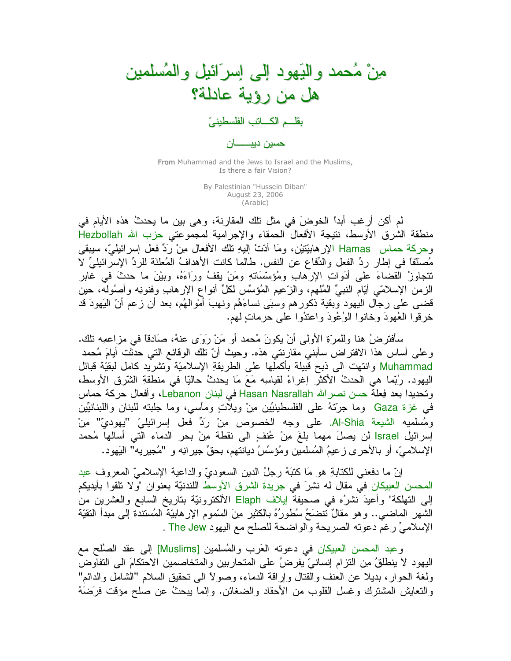

From Muhammad and the Jews to Israel and the Muslims, Is there a fair Vision?

> By Palestinian "Hussein Diban" August 23, 2006 (Arabic)

لم أكن أرغب أبداً الخوضَ في مثل نلك المقارنة، وهي بين ما يحدثُ هذه الأيام في منطقة الشرق الأوسط، نتيجة الأفعال الحمقاء والإجرامية لمجموعتي حزب الله Hezbollah وحركة حماس Hamas الإرهابيّتيْن، ومَا أَدّتْ إليهِ نلك الأفعال مِنْ رَدِّ فعل إسرائيليّ، سيبقى مُصنَّفًا في إطارٍ ردِّ الفعل والدِّفاع عن النفس. طالما كانت الأهدافُ المُعلَّنَة للردِّ الإسرائيليِّ لا تتجاوزُ القضاءَ على أدَواتِ الإرهابِ ومُؤسَّسَاتِهِ ومَنْ يقفُ ورَاءَهُ، وبيْنَ ما حدثَ في غابرِ الزمن الإسلامَي أَيَّام النَّبيِّ الْمُلْهِم، والزَّعيم الْمُؤسِّس لكلِّ أنواع الإرهابِ وفنونِه وأصُوله، حين قضيي على رجال اليهود وبقية ذكورهم وسبَى نساءَهُم ونـهبَ أموالـهُم، بـعد أن زعم أنّ البَهودَ قد خر قو ا العُهودَ وخانوا الوُعُودَ واعتدُوا عَلَى حرماتٍ لَهِم.

سأفترضُ هنا وللمرِّةِ الأولى أنْ يكونَ مُحمد أو مَنْ رِوَى عنهُ، صَادقًا في مزاعمِه نلك. وعلى أساس هذا الافتراض سأبنى مقارنتي هذه. وحيث أنّ تلك الوقائع التي حدثت أيامَ مُحمد Muhammad وانتهت الى ذبح قَبيلة بأكملِّها على الطريقةِ الإسلاميّة وتشريد كامل لبقيّة قبائل اليهود. رُبِّما هي الحدثُ الأكثر إغراءً لقياسِه مَعَ مَا يحدثُ حاليًّا في منطقةِ الشَّرقِ الأوسط، وتحديدا بعد فِعلة حسن نصرالله Hasan Nasrallah في لبنان Lebanon، وأفعال حركة حماس في غزة Gaza وما جرَّتهُ على الفلسطينيِّين مِنْ ويلاتٍ ومأسى، وما جلبته للبنان واللبنانيِّين ومُسلميه الشيعة Al-Shia. على وجه الخصوص مِنْ رَدِّ فعل إسرائيليّ "يهوديّ" مِنْ إسرائيل Israel لن يصلَ مهما بلغَ منْ عُنفٍ الى نقطة مِنْ بحرِ الدماء التي أسالها مُحمد الإسلاميِّ، أو بالأحرى زعيمُ المُسلمين ومُؤسِّسُ ديانتهم، بحقٍّ جيرانِه و "مُجيريه" البَهود.

إنَّ ما دفعني للكتابةِ هو مَا كتبَهُ رجلُ الدين السعوديِّ والداعية الإسلاميِّ المعروف عبد المحسن العبيكان في مقال له نشرٍ في جريدة الشرق الأوسط اللندنيّة بعنوان "ولا نلقوا بأيديكم إلى التهلكة" وأعيدَ ُّنشرُه في صحيفةٌ إيلاف Elaph الألكترونيّة بتاريخ السابع والعشرين من الشهر الماضـي.. وهو مقالٌ نتضَحُ سُطورُهُ بالكثيرِ منَ السَّمومِ الإرهابيَّةِ المُستندةِ إلـي مبدأ النقيَّةِ الإسلاميِّ رغم دعونه الصريحة والواضحة للصلح مع اليهود The Jew .

وعبد المحسن العبيكان في دعوته العَرب والمُسلمين [Muslims] إلى عقد الصُلْح مع اليهود لا ينطلقُ مِن النّزام إنسانيّ يفرضُ على المتحاربين والمتخاصمين الاحتكامَ الى النفاوضّ ولغة الحوار، بديلًا عن العنف والقتال وإراقة الدماء، وصولاً الى نحقيق السلام "الشامل والدائم" والنعايش المشترك وغسل القلوب من الأحقاد والضغائن. وإنَّما بيحثٌ عن صلح مؤقت فرَضَهُ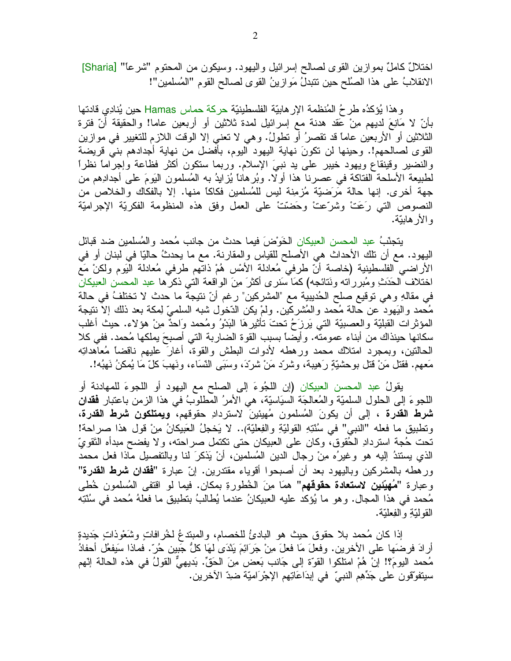اختلالٌ كاملٌ بموازين القوى لصالح إسرائيل واليهود. وسيكون من المحتوم "شرعاً" [Sharia] الانقلابُ على هذا الصُّلح حين نتبدلُ مَو ازينُ القوى لصـالح القوم "المُسلمين"!

وهذا يُؤكدُه طرحُ المُنظمة الإرهابيّة الفلسطينيّة حركة حماس Hamas حين يُنادِي قادتها بَأَنَّ لا مَانِعَ لديهم مِنْ عَقد هدنة مع إسرائيل لمدة ثلاثين أو أربعين عاما! والحقيقة أنَّ فترة الثلاثين أو الأربعين عامًا قد تقصرُ أو نطولُ. وهي لا تعني إلا الوقت اللازم للتغيير في موازين القوى لصـالحهم!. وحينها لن نكونَ نهاية اليهود اليوم، بأفضل من نهاية أجدادهم بنبي قريضة والنضير وقينقاع ويهود خيبر علىي يد نببيَ الإسلام. وربما سنكون أكثر فظاعة وإجراماً نظراً لطَّبِيعة الأسلَّحة الفُّتاكة في عصرنا هذا أو لا. وبُرِّهاناً يُزْلَيْهُ به الْمُسلَّمُونِ الْبَوْمَ علي أجدادِهم من جهة أخرى. إنها حالة مَرَضَيَّة مُزْمِنَة لَيْسٍ للْمُسلِّمين فكاكاً منها. إلا بالفكاك والخلاص من النصوص التي رَعَتْ وشرَّعتْ وحَضَّتْ على العمل وفق هذه المنظومة الفكريَّة الإجراميَّة و الأر هايتة.

يتجنَّبُ عبد المحسن العبيكان الخَوْضَ فيما حدث من جانب مُحمد والمُسلمين ضد قبائل اليهود. مع أن تلك الأحداث هي الأصلح للقياس والمقارنة. مع ما يحدثُ حاليًا في لبنان أو في الأراضـي الفلسطينية (خاصـة أنّ طرفـي مُعادلة الأمْس هُمْ ذاتهم طرفـي مُعادلة اليَوم ولكنْ مَع اختلاف الحَدَثِ ومُبرر اته ونَتائجه) كمَا سَنر ي أكثرَ مِنَ الواقعة التي ذكر ها عبد المحسن العبيكان في مقالهِ و هي توقيع صلح الحُديبية مع "المشركين" ر غم أنّ نتيجة ما حدث لا تختلفُ في حالة مُحمد والبَهود عن حالة مُحمد والمُشركين. ولمْ يكن الدّخول شبه السلميّ لِمكة بعد ذلك إلا ننتيجة المؤثرات القبليَّة والعصبيَّة التي يَرزَحُ نحتَ نَأْثيرهَا الْبَدْوُ ومُحمد وَاحدٌ مِنْ هؤلاء. حيث أغلب سكانها حينذاك من أبناء عمومته. وأيضاً بسبب القوة الضاربة التي أصبحَ يملكها مُحمد. ففي كلا الحالتين، وبمجرد امتلاك محمد ورهطه لأدوات البطش والقوة، أغارَ عليهم ناقضاً مُعاهداتِه مَعهم. فقتل مَنْ قتل بوحشيّةٍ رَهيبة، وشرد مَنْ شردّ، وسَبَى النّسَاء، ونَهبَ كلّ مَا يُمكنُ نَهبُه!.

يقولُ عبد المحسن العبيكان (إن اللجُوءَ إلى الصلح مع اليهود أو اللجوءَ للمهادنة أو اللجوءَ إلى الحلول السلميّة والمُعالجَة السيَاسيّة، هي الأمرُ المُطلوّبُ في هذا الزمن باعتبار **فقدان شرط القدرة ،** إلى أن يكونَ المُسلمون مُهيئينَ لاستردادِ حقوقهم**، ويمتلكون شرط القدرة،** ونطبيق ما فعله "النبي" في سُنَّتِهِ القوليّةِ والفِعليّة).. لا يَخجلُ العَبيكانُ مِنْ قول هذا صراحة! تحت حُجة استردادِ الحُقوقِ، وكان على العبيكان حتى تكتمل صراحته، ولا يفضح مبدأه التَقويّ الذي يستندُ إليه هو وغيرُه مِنْ رجال الدين المُسلمين، أنْ يَذكرَ لنا وبالتفصيل ماذا فعل محمد ورهطه بالمشركين وباليهود بعد أن أصبحوا أقوياء مقتدرين. إنّ عبارة "**فقدان شرط القدرة**" وعبارة "**مُهيّئين لاستعادة حقوقهم**" همَا مِنَ الْخُطورةِ بمكان. فيما لو اقتفى المُسلمون خُطي مُحمد في هذا المجال. وهو ما يُؤكد عليه العبيكانُ عندما يُطالبُ بنطبيقٍ ما فعلهُ مُحمد في سُنَّتِه القو لدّةِ و الفِعليّة.

إذا كان مُحمد بلا حقوق حيث هو البادئُ للخصام، والمبتدعُ لخُرافاتٍ وشَعْوذَاتٍ جَديدةٍ أرادَ فرضَها على الأخرين. وفعلَ مَا فعلَ مِنْ جَرَائِمَ بَنْدَى لَهَا كُلُّ جَبينٍ حُرٍّ. فماذا سَيفعُل أحفادُ مُحمد اليومَ؟! إنْ هُمْ امتلكوا القوَّة إلى جَانب بَعض مِنَ الْحَقِّ. بَديهيٌّ القولُ في هذه الحالة إنّهم سيتفوَّقُون على جَدِّهِم النَّبِيِّ ۖ في إبدَاعَاتِهِم الإجْرَاميَّة ضَدِّ الأخرينِ.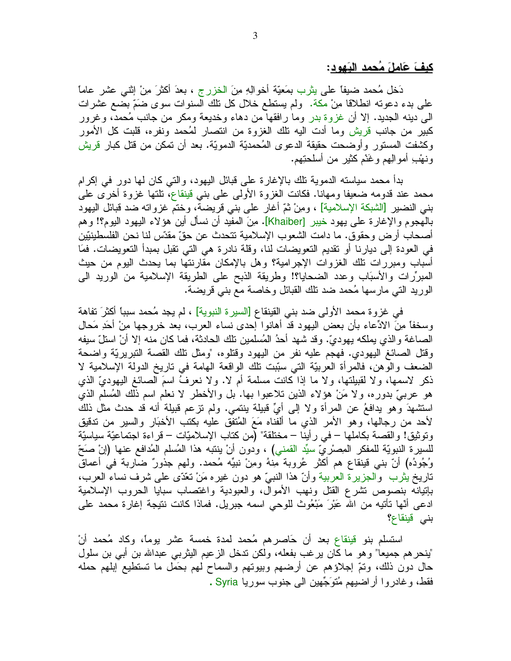كيفَ عَاملَ مُحمد البَهود:

دَخل مُحمد ضيفاً على يِثْرِب بِمَعِيَّة أخوالِهِ مِنَ الْخزرِجِ ، بِعدَ أكثرَ مِنْ إِنْتِي عِشْرٍ عاماً على بدء دعوته انطلاقًا مِنْ مكة. ولم يستطع خلال كل نلك السنوات سوى ضَمَّ بضع عشرات الى دينه الجديد. إلا أن غزوة بدر وما رافقها من دهاء وخديعة ومكر من جانب مُحمد، وغرور كبير من جانب قريش وما أدت اليه نلك الغزوة من انتصار لمُحمد ونفره، قلبت كل الأمور وكشفت المستور وأوضحت حقيقة الدعوى المُحمديّة الدمويّة. بعد أن تمكن من قتل كبار قريش ونهْبِ أموالِهِمْ وغَنْمْ كَثَيْرٍ من أَسْلَحْنِهِم.

بدأ محمد سياسته الدموية تلك بالإغارة علىي قبائل البهود، والتبي كان لمها دور في إكرام محمد عند قدومه ضعيفا ومهانا. فكانت الغزوة الأولى على بنبي قينقاع، نلتها غزوة أخرى على بني النضير [الشبكة الإسلامية] ، ومِنْ ثُمَّ أُغارٍ على بني قريضة، وختم غزواته ضد قبائل اليهود بالمهجوم والإغارة على يهود خيبر [Khaiber]. مِنَ المفيد أن نسأل أين هؤلاء اليهود اليوم؟! وهم أصـحاب أرض وحقوق. ما دامت الشعوب الإسلامية نتحدث عن حقّ مقدّس لنا نـحن الفلسطينيّين في العودة إلى ديارنا أو نقديم التعويضات لنا، وقلة نادرة هي التي نقبل بمبدأ التعويضات. فمَا أسباب ومبررات نلك الغزوات الإجرامية؟ وهل بالإمكان مقارنتها بما يحدث اليوم من حيث المبرِّرات والأسبَاب وعدد الضحايا؟! وطريقة الذبح على الطريقة الإسلامية من الوريد الى الوريد التي مارسها مُحمد ضد نلك القبائل وخاصة مع بني قريضة.

في غزوة محمد الأولى ضد بني القينقاع [السيرة النبوية] ، لم يجد مُحمد سبباً أكثرَ تفاهة وسخفًا مِنَ الادِّعاء بأن بعض اليهود قد أهانوا إحدى نساء العرب، بعد خروجها مِنْ أَحَدِ مَحالٍ الصباغة و الذي يملكه يهوديّ. وقد شهد أحدُ المُسلمين تلك الحادثة، فما كان منه إلا أنْ استلّ سيفه وفَّتل الصائغ اليهودي. فهجم عليه نفرٍ من اليهود وقتلوه، "ومثل تلك القصة التبريريَّة واضحة الضعف والوهن، فالمرأة العربيَّة الَّتي سُبَّبت تلك الواقعة الهامة في تاريخ الدولة الإسلامية لا ذكر لاسمها، ولا لقبيلتها، ولا ما إذا كانت مسلمة أم لا. ولا نعرفُ اسمَ الصائغ اليهوديِّ الذي هو عربيٌّ بدوره، ولا مَنْ هؤلاء الَّذين تلاعبوا بها. بل والأخطر لا نعلم اسم ذلك المُسلم الذي استشهدَ وهو يدافعُ عن المرأة ولا إلى أيِّ قبيلة ينتمي. ولم نزعم قبيلة أنه قد حدث مثل ذلك لأحد من رجالها، وهو الأمر الذي ما ألفناه مَعَ المُتفق عليه بكتب الأخبَار والسير من تدقيق ونوثيق! والقصة بكاملها – في رأينا – مختلقة" (من كتاب الإسلاميّات – قراءة اجتماعيّة سياسيّة للسيرة النبويّة للمفكر المِصرْ يّ سيِّد القمني) ، ودون أنْ ينتبه هذا المُسلم المُدافع عنها (إنْ صَحّ وُجُودُه) أنّ بني قينقاع هم أكثرٍ عُروبة مِنهُ ومِنْ نبيِّه مُحمدٍ. ولهم جذورٌ ضاربة في أعماقٍ ناريخ يثرب ۖ والجزيرة العربية وأنَّ هذا النبيَّ هو دون غيره مَنْ نَعْدَى على شرف نساء العرب، بإنيانه بنصوص نشرع القتل ونهب الأموال، والعبودية واغتصاب سبايا الحروب الإسلامية ادعي أنَّها تأتيه من الله عَبْرَ مَبْعُوث للوحي اسمه جبريل. فماذا كانت نتيجة إغارة محمد على بنی قینقاع؟

استسلم بنو قينقاع بعد أن حَاصرهم مُحمد لمدة خمسة عشر يوماً، وكاد مُحمد أنْ "ينحر هم جميعا" و هو ما كان ير غب بفعله، ولكن ندخل الز عيم اليثربي عبدالله بن أبي بن سلول حال دون ذلك، ونمَّ إجلاؤهم عن أرضهم وبيوتهم والسماح لهم بحَمل ما تستطيع إبلهم حمله فقط، وغادروا أراضيهم مُتوَجِّهين الى جنوب سوريا Syria .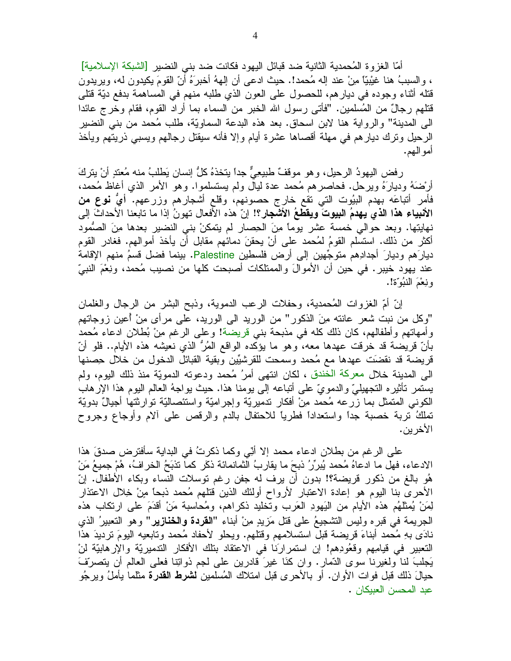أمّا الغزوة المُحمدية الثانية ضد قبائل اليهود فكانت ضد بني النضير [الشبكة الإسلامية] ، والسببُ هنا غيْبيًّا مِنْ عند إله مُحمد!. حيث ادعى أن إلههُ أخبرَهُ أنّ القومَ يكيدون له، ويريدون قُتله أثناء وجوده في ديارهم، للحصول على العون الذي طلبه منهم في المساهمة بدفع ديّة قُتلى قُتلهم رجالٌ من المُسلمين. "فأتـي رسول الله الخبر من السماء بما أراد القوم، فقام وخرج عائدا الي المدينة" والرواية هنا لابن اسحاق. بعد هذه البدعة السماويّة، طلب مُحمد من بني النضير الرحيل ونرك ديارهم فبي مهلة أقصاها عشرة أيام وإلا فأنه سيقتل رجالهم ويسببي ذريتهم ويأخذ امو الـهم.

رفض اليهودُ الرحيل، وهو موقفٌ طبيعِيٌّ جداً يتخذهُ كلُّ إنسانٍ يَطلبُ منه مُعتدٍ أنْ يتركَّ أَرْضَهُ وديارَهُ ويرحل. فحاصرهم مُحمد عدة ليال ولم يستسلموا. وهو الأمر الذي أغاظ مُحمد، فَأَمَرٍ أَتباعَه بهدم البيُوت التي تقع خارج حصونهم، وقلع أشجارهم وزرعهم. أيُّ نوعٍ من الأنبياء هذا الذي يهدمُ البيوتَ ويقطعُ الأشجار؟! إنّ هذه الأفعال تهونُ إذا ما تابعنا الأحداثَ إلى نهايتِها. وبعد حوالي خمسة عشر يوماً مِنَ الحِصارِ لم يتمكنْ بني النضيرِ بعدها مِنَ الصُّمود أكثر من ذلك. استسلم القومُ لمُحمد على أنْ يحقنَ دمائهم مقابل أن يأخذ أموالهم. فغادر القوم ديارَهم وديارَ أجدادِهم متوجِّهين إلى أرض فلسطين Palestine. بينما فضل قسمُ منهم الإقامة عند يهود خيبر . في حين أن الأموالَ والممتلكات أصبحت كلَّها من نصيب مُحمد، ونِعْمَ النبيِّ وَنِعْمَ الْنَبُوَّةِ!.

إنَّ أُمَّ الغزوات المُحمدية، وحفلات الرعب الدموية، وذبح البشر من الرجال والغلمان "وكل من نبت شعر عانته مِنَ الذكور" من الوريد الـي الوريد، علـي مرأى مِنْ أُعين زوجاتهم وأمهاتهم وأطفالهم، كان ذلك كله في مذبحة بني قريضة! وعلى الرغم مِنْ بُطْلان ادعاء مُحمد بأنّ قريضة قد خرقت عهدها معه، وهو ما يؤكده الواقع المُرُّ الذي نعيشه هذه الأيام.. فلو أنّ قريضة قد نقضَت عهدها مع مُحمد وسمحت للقرشيِّين وبقية القبائل الدخول من خلال حِصنها الى المدينة خلال معركة الخندق ، لكان انتهى أمرُ مُحمد ودعونه الدمويّة منذ ذلك اليوم، ولم يستمر تأثيره التجهيليّ والدمويّ على أنباعه إلى يومنا هذا. حيث يواجهُ العالم اليوم هذا الإرهاب الكونبي المنمثل بما زرعه مُحمد مِنْ أفكار ندميريَّة وإجراميَّة واستئصاليَّة نوارثتها أجيالٌ بدويَّة نملكُ نربة خصبة جدًا واستعدادًا فطريًا للاحتفال بالدم والرقص على ألام وأوجاع وجروح الأخرين.

على الرغم من بطلان ادعاء محمد إلا أُنِّي وكما ذكرتُ في البداية سأفترض صدقَ هذا الادعاء، فهل ما ادعاهُ مُحمد يُبِرِّرُ `ذبحَ ما يقاربُ الثمانمائة ذكَرٍ كما تذبَحُ الخرافُ، هُمْ جميعُ مَنْ هُو بالغ من ذكور قريضة؟! بدون أن يرف له جفن رغم نوسلات النساء وبكاء الأطفال. إنّ الأحرى بنا اليوم هو إعادة الاعتبار لأرواح أولئك الذين قتلهم مُحمد ذبحاً منٍ خِلال الاعتذار لِمَنْ يُمثِّلَهُم هذه الأيام من اليَهودِ العَرب وتخليد ذكراهم، ومُحاسبة مَنْ أقدَمَ على ارتكاب هذه الجريمة في قبره وليس التشجيعُ على قتل مَزيدٍ مِنْ أبناء "ا**لقردة والخنازير**" وهو التعبيرُ الذي نادَى بهِ مُحمد أبناءَ قريضة قبل استسلامهم وقتلهم. ويحلو ﻷحفاد مُحمد وتابعيه اليومَ ترديدَ هذَا النعبير في قيامِهم وقعُودِهم! إن استمرارنا في الاعتقاد بنلك الأفكار الندميريّة والإرهابيّة لنْ يَجلبَ لَنا ولغيرِنا سوى الدَّمار . وان كَنَا غيرَ قادرين على لـجم ذواتِنا فعلـي العالم أن يتصرَّفَ حيالَ ذلك قبل فوات الأوان. أو بالأحرى قبل امتلاك المُسلمين **لشرط القدرة** مثلما يأملُ ويرجُو عبد المحسن العبيكان .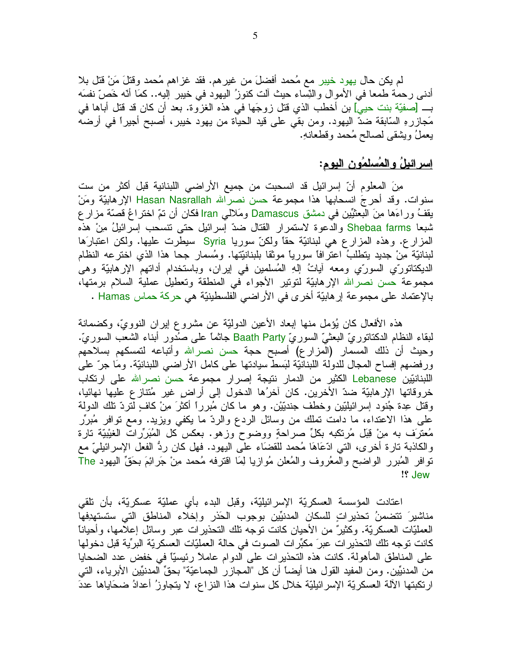لم يكن حال يهود خيبر مع مُحمد أفضلَ من غيرهم. فقد غزاهم مُحمد وقتلَ مَنْ قتل بلا أدنـي رحمة طمعا فـي الأموال والنِّساء حيث ألت كنوزُ اليهود فـي خيبر إليه.. كمَا أنَّه خَصَّ نفسَه بـــــ [صفيّة بنت حيي] بن أخطب الذي قتل زوجَها في هذه الغزوة. بعد أن كان قد قتل أباها في مَجازرهِ السَّابقة ضدّ اليهود. ومن بقي على قيد الحياة من يهود خيبر، أصبح أجيراً في أرضه يعملُ ويشقى لصالح مُحمد وقطعانهِ.

## إسرائيلُ والمُسلمُونِ اليوم:

مِنَ المعلوم أنّ إسرائيل قد انسحبت من جميع الأراضـي اللبنانية قبل أكثر من ست سنوات. وقد أحرجَ انسحابها هذا مجموعة حسن نصرالله Hasan Nasrallah الإرهابيّة ومَنْ يقفُ وراءَها مِنَ البعثيِّين في دمشق Damascus ومَلالي Iran فكان أن نمّ اختراعُ قصنَّة مزار ع شبعا Shebaa farms والدعوة لاستمرار القتال ضدّ إسرائيل حتى نتسحب إسرائيلُ مِنْ هذه المزارع. وهذه المزارع هي لبنانيّة حقًّا ولكنّ سوريا Syria سيطرت عليها. ولكن اعتبارَها لبنانيَّة مِنْ جديدٍ يتطلبُ اعترافًا سوريًا موثقًا بلبنانيِّتها. ومُسمارٍ جحا هذا الذي اخترعه النظام الديكناتورِّي السورِّي ومعه أياتُ إلهِ المُسلمين في إيران، وباستخدام أداتهم الإرهابيَّة وهي مجموعة حسن نصرالله الإرهابيّة لتونير الأجواء في المنطقة وتعطيل عملية السلام برمتها، بالإعتماد على مجموعة إرهابيّة أخرى في الأراضي الفلسطينيّة هي حركة حماس Hamas .

هذه الأفعال كان بُؤمِل منها إبعاد الأعين الدوليّة عن مشروع إيران النوويّ، وكضمانة لبقاء النظام الدكناتوريّ البعثيّ السوريّ Baath Party جانمًا على صُدورٍ أبناء الشعب السوريّ. وحيث أن ذلك المسمار (المزارع) أصبح حجة حسن نصرالله وأتباعه لتمسكهم بسلاحهم ورفضهم إفساح المجال للدولة اللبنانيّة لبَسط سيادتها على كامل الأراضـي اللبنانيّة. ومَا جرّ علمي اللبنانيّين Lebanese الكثير من الدمار نتيجة إصرار مجموعة حسن نصرالله على ارتكاب خروفاتها الإرهابيّة ضدّ الأخرين. كان آخرُها الدخول إلى أراض غير مُتنازع عليها نهائيا، وفَتْل عِدة جُنود إسرائيلبِّين وخطف جنديِّيْن. وهو ما كان مُبرراً أكثرَ مِنْ كافٍ لِّتردّ تلك الدولة على هذا الاعتداء، ما دامت نملك من وسائل الردع والردّ ما يكفي ويزيد. ومع نوافر مُبرِّر مُعترَف به مِنْ قِبَلٍ مُرتكبه بكلِّ صراحةٍ ووضوحٍ وزهوٍ. بعكس كل المُبَرِّرات الغيْبيّة تارة والكاذبة نارة أخرى، التي ادَّعَاهَا مُحمد للقضَاء على اليهود. فهل كان ردُّ الفعل الإسرائيليّ مع نوافر المُبرر الواضيح والمعُروف والمُعلن مُوازيا لِمَا اقترفه مُحمد مِنْ جَرائِمَ بِحَقِّ اليهود The !! Jew

اعتادت المؤسسة العسكريّة الإسرائيليّة، وقبل البدء بأي عمليّة عسكريّة، بأن نلقى مناشيرَ نتضمنُ تحذيراتٍ للسكان المدنيِّين بوجوب الحَذر وإخلاء المناطق التي ستستهدِفها العمليّات العسكريّة. وكثيرٌ من الأحيان كانت نوجه نلك النحذيرات عبر وسائل إعلامها، وأحيانا كانت نوجه تلك التحذير ات عبرَ مكبِّر ات الصوت في حالة العمليّات العسكريّة البرِّية قبل دخولها على المناطق المأهولة. كانت هذه التحذيرات على الدوام عاملاً رئيسيًّا في خفض عدد الضحايا من المدنيِّين. ومن المفيد القول هنا أيضاً أن كل "المجازر الجماعيّة" بحقِّ المدنيِّين الأبرياء، التي ارتكبتها الآلة العسكريّة الإسرائيليّة خلال كل سنوات هذا النزاع، لا يتجاوزُ أعدادُ ضحَاياها عددَ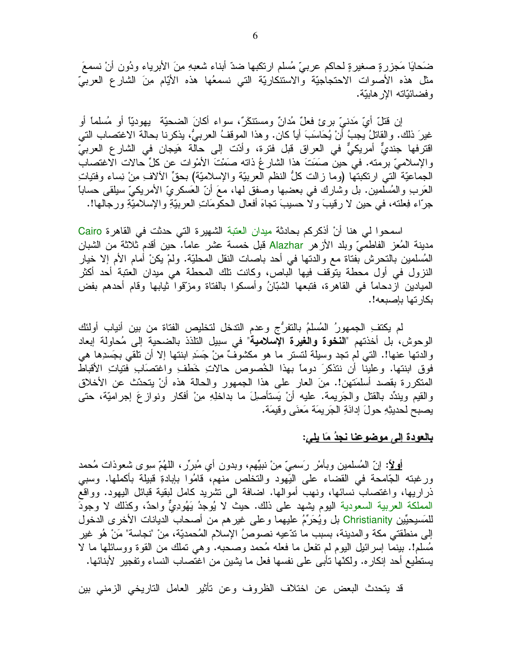ضَحايَا مَجزرةٍ صغيرةٍ لحاكم عربيٍّ مُسلم ارتكبها ضدّ أبناء شعبهِ منِ الأبرياء ودُون أنْ نسمعَ مثل هذه الأصوات الاحتجاجيَّة والاستنكاريَّة التي نسمعُها هذه الأيَّام مِنَ الشَّارع العربيِّ و فضائيّاته الإر هابيّة.

إن قُتْلٌ أيِّ مَدنيٍّ برِئٍ فعلٌ مُدانٌ ومستنكَرٌ، سواء أكانَ الضحيَّة ۖ يهوديّاً أو مُسلماً أو غيرَ ذلك. والقاتلُ يجبُ أنْ يُحَاسَبَ أيا كان. وهذا الموقفُ العربيُّ، يذكرنا بحالة الاغتصاب التي اقترفها جنديٌّ أمريكيٌّ في العراق قبل فترة، وأدّت إلى حالة هَيجان في الشارع العربيّ والإسلاميّ برمنه. في حين صَمَتَ هذا الشار عُ ذاته صَمْتَ الأَمْوات عن كلِّ حالات الاغتصاب الْجِمَاعِيَّة الَّتِي ارتكبتها (وما زالت كلُّ النظم العربيَّة والإسلاميَّة) بحقٍّ الألاف مِنْ نِساء وفتيات الْعَرِبِ والْمُسلمينِ. بل وشارك في بعضبِها وصفقٍ لها، معَ أنَّ العَسكريِّ الأمريكيِّ سيلقي حساباً ۖ جرّاء فِعلته، في حين لا رقيبَ ولا حسيبَ نجاهَ أفعال الحكّومَاتِ العربيّةِ والإسلاميّةِ ورجالها!.

اسمحوا لي هنا أنْ أذكركم بحادثة ميدان العتبة الشهيرة التي حدثت في القاهرة Cairo مدينة المُعز الفاطميّ وبلد الأزهر Alazhar قبل خمسة عشر عاماً. حين أقدم ثلاثة من الشبان الْمُسلَّمين بالتَّحرُّش بفتاة مع والدتها في أحد باصات النقل المحلَّيَّة. ولمْ يكنْ أمام الأم إلا خيار النزول في أول محطة يتوقف فيها الباص، وكانت نلك المحطة هي ميدان العتبة أحد أكثر الميادين ازدحاماً في القاهرة، فتبعها الشَّبَّانُ وأمسكوا بالفتاة ومزَّقوا ثيابها وقام أحدهم بفض بكار تها بإصبعه!.

لم يكتفِ الجمهورُ المُسلمُ بالتفرُّج وعدم الندخل لتخليص الفتاة من بين أنياب أولئك الوحوش، بل أخذتهم "ا**لنخوة والغيرة الإسلامية**" في سبيل النلذذ بالضحية إلى مُحاولة إبعاد والدنها عنها!. التبي لم تجد وسيلة لنستر ما هو مكشوفٌ مِنْ جَسَدِ ابنتها إلا أن نلقى بجَسدِها هي فوق ابنتها. وعلينا أن ننذكرَ دوماً بهذا الخُصوص حالاتِ خَطفِ واغتصَابِ فتياتِ الأقباط المتكررة بقصد أسلمَتهن!. مِنَ العار على هذا الجمهور والحالة هذه أنْ يتحدّث عن الأخلاق والقيم ويندِّد بالقتل والجَريمة. عليه أنْ يَستأصلَ ما بداخلِهِ مِنْ أفكارٍ ونوازِعَ إجراميَّة، حتى يصبح لحديثِهِ حولَ إدانَةِ الْجَرِيمَة مَعنَى وقيمَة.

## بالعودة إلى موضوعنا نجدُ مَا يلي:

<u>أولا</u>ً: إنّ المُسلمين وبأمرٌ رَسمِيٌّ مِنْ نبيِّهم، وبدون أي مُبررٌر ، اللَّهُمّ سوى شعوذات مُحمد ورغبته الجَّامحة في القضاء على اليَهود والتخلص منهم، قامُوا بإبادةِ قبيلة بأكملها. وسبي ذراريها، واغتصابٌ نسائها، ونهب أموالها. اضافة الى نتثىريد كامل لبقية قبائل اليهود. وواقع المملكة العربية السعودية اليوم بشهد على ذلك. حيث لا يُوجدُ يَهُودِيٌّ واحدٌ، وكذلك لا وجودَ للمَسيحيِّين Christianity بل ويُحَرِّمُ عليهما وعلى غيرِ هم من أصحاب الديانات الأخرى الدخول إلى منطقتي مكة والمدينة، بسبب ما ندَّعيه نصوصُ الإسلام المُحمديّة، مِنْ "نجاسة" مَنْ هُو غيرٍ مُسلَّم!. ببنِما إسرائيل اليوم لم نفعل ما فعله مُحمد وصحبه. وهي نَملك من القوة ووسائلها ما لا يستطيع أحد إنكار ه. ولكنَّها نأبـي علـي نفسها فعل ما يشين من اغتصـاب النساء وتفجير لأبنائها.

قد يتحدث البعض عن اختلاف الظروف وعن تأثير العامل التاريخي الزمني بين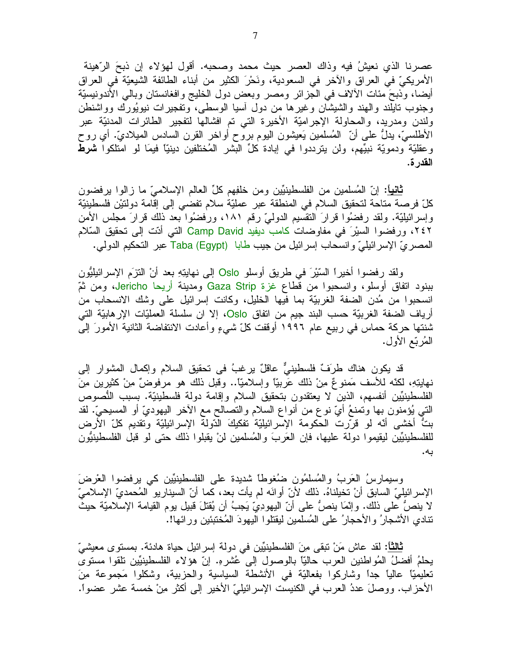عصرنا الذي نعيشُ فيه وذاك العصر حيث محمد وصحبه. أقول لهؤلاء إن ذبحَ الرّهينة الأمريكيَّ في العراق والأخر في السعودية، ونَحْرَ الكثير من أبناء الطائفة الشيعيَّة في العراق أيضـا، وذبحَ مئات الألاف فـي الـجزائر ومصـر وبـعض دول الـخليج وافغانستان وبالـي الأندونيسيّة وجنوب نايلند والهند والشيشان وغيرها من دول أسيا الوسطى، ونفجيرات نيويُورك وواشنطن ولندن ومدريد، والمحاولة الإجراميّة الأخيرة التي تم افشالها لتفجير الطائرات المدنيّة عبر الأطلسيّ، يدلُّ علـى أنّ المُسلمين يَعيشون اليوم بروح أواخر القرن السادس الميلاديّ. أي روح وعقليّة ودمويّة نبيِّهم، ولن يترددوا في إبادة كلِّ البشر المُختلفين دينيّاً فيمَا لو امتلكوا **شرط** القدر ة.

<mark>ثانياً</mark>: إنّ المُسلمين من الفلسطينيّين ومن خلفِهم كلِّ العالم الإسلاميّ ما زالوا برفضون كلِّ فرصة مناحة لتحقيق السلام في المنطقة عبر عمليّة سلام تفضي إلى إقامة دولتيْن فلسطينيّة وإسرائيليّة. ولقد رفضُوا قرارَ التقسُّيم الدوليّ رقم ١٨١، ورفضُوا بعد ذلك قرارَ مجلس الأمن ٢٤٢، ورفضوا السيْرَ في مفاوضات كامب ديفيد Camp David التي أدّت إلى تحقيق السّلام المصريّ الإسرائيليّ وانسحاب إسرائيل من جيب طابا (Taba (Egypt عبر التحكيم الدولي.

ولقد رفضوا أخيراً السَّيْرَ في طريقٍ أوسلو Oslo إلى نهايتِهِ بعد أنْ النَّزَمِ الإسرائيليُّونِ ببنود اتفاق أوسلو، وانسحبوا من قطاع غزة Gaza Strip ومدينة أريحا Jericho، ومن ثُمّ انسحبوا من مُدن الضفة الغربيّة بما فيها الخليل، وكانت إسرائيل على وشك الانسحاب من أرياف الضفة الغربيّة حسب البند جيم من اتفاق Oslo، إلا ان سلسلة العمليّات الإرهابيّة التي شنتها حركة حماس في ربيع عام ١٩٩٦ أوقفت كلّ شيءٍ وأعادت الانتفاضة الثانية الأمورَ إلى المُربّع الأول.

قد يكون هناك طرَفٌ فلسطينيٌّ عاقلٌ يرغبُ في تحقيق السلام وإكمال المشوار إلى نهايتِهِ، لكنَّه للأسف مَمنوعٌ مِنْ ذلك عَرِبيًّا وإسلاميًّا.. وقبل ذلك هو مرفوضٌ مِنْ كثيرين مِنَ الفلسطينيِّين أنفسهم، الذين لا يعتقدون بتحقيق السلام وإقامة دولة فلسطينيَّة. بسبب النُّصوص الَّتي يُؤمنون بها وتمنعُ أيّ نوعٍ من أنواع السلام والنصالح مع الأخر اليهوديّ أو المسيحيّ. لقد بتٌ أخشى أنّه لو قرّرت الحكومة الإسرائيليّة تفكيكَ الدّولة الإسرائيليّة ونقديم كلّ الأرض للفلسطينيِّين ليقيموا دولة عليها، فإن العَربَ والمُسلمين لنْ يقبلوا ذلك حتى لو قبل الفلسطينيُّون به.

وسيمارسُ العَربُ والمُسلَّمُون ضُغوطًا شديدة على الفلسطينيِّين كي يرفضوا العْرِضَ الإسر ائيليِّ السابق أنْ تخيلناهُ. ذلك لأنّ أوانَه لم يأت بعد، كما أنّ السيناريو المُحمديّ الإسلاميّ لا ينصُّ على ذلك. وإنَّمَا ينصُّ على أنِّ اليهودِيِّ يَجِبُ أن يُقتلَ قبيلٍ يوم القيامة الإسلاميَّة حيث تنادى الأشجار ُ و الأحجار ُ على المُسلمين ليقتلو ا اليهودَ المُختبئين و ر ائها!.

<mark>ثالثاً:</mark> لقد عاش مَنْ تبقى م*ِن*َ الفلسطينيِّين في دولة إسرائيل حياة هادئة. بمستوى معيشيِّ يحلَّمُ أفضلُ المُواطنين العرب حاليًّا بالوصول إلى عُشرهِ. إنَّ هؤلاء الفلسطينيِّين تلقوا مسنوى تعليميًّا عاليًا جدًا وشاركوا بفعاليَّة في الأنشطة السياسية والحزبية، وشكلوا مَجموعة مِنَ الأحزاب. ووصلَ عددُ العرب في الكنيست الإسرائيليِّ الأخير إلى أكثر مِنْ خمسة عشر عضواً.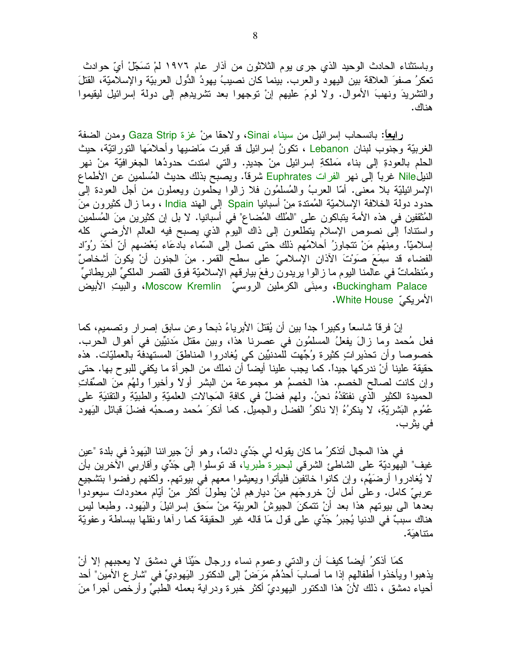وباستثناء الحادث الوحيد الذي جرى يوم الثلاثون من أذار عام ١٩٧٦ لمْ تَسَجِّلْ أيّ حوادث نعكرُ صفوَ العلاقة بين اليهود والعرب. بينما كان نصيبُ يهودُ الدُّول العربيّة والإسلاميّة، القتلَ والتشريدَ ونهبَ الأموال. ولا لومَ عليهم إنْ نوجهوا بعد نشريدِهِم إلىي دولة إسرائيل ليقيموا هناك.

رِابِعاً: بانسحاب إسرائيل من سيناء Sinai، ولاحقا مِنْ غزة Gaza Strip ومدن الضفة الغربيّة وجنوب لبنان Lebanon ، نكونُ إسرائيل قد قبرت مَاضيها وأحلامَها التورانيّة، حيث الحلم بالعودةِ إلى بناء مَملكةِ إسرائيل مِنْ جديدٍ. والتي امندت حدودُها الجغرافيّة مِنْ نهر النيلNile غرباً إلى نهر الفرات Euphrates شرقاً. ويصبح بذلك حديث المُسلمين عن الأطماع الإسرائيليَّة بلا معنى. أمَّا العربُ والمُسلَّمُون فلا زالوا بـحلمون ويعملون من أجل العودة إلى حدود دولة الخلافة الإسلاميّة المُمتدة مِنْ أسبانيا Spain إلى الهند India ، وما زال كثيرون مِنَ الْمُثْقَفِينِ في هذه الأمة يتباكون على "المُلك المُضاع" في أسبانيا. لا بل إن كثيرين مِنَ المُسلمين واستناداً إلى نصوص الإسلام يتطلعون إلى ذاك اليوم الذي يصبح فيه العالم الأرضـي كله إسلاميًّا. ومِنهُم مَنْ نتجاوزُ أحلامُهم ذلك حتى نصل إلى السَّماء بادعَاء بَعْضهم أنَّ أَحَدَ رُوَّاد الفضاء قد سِمَعَ صوَّتَ الأذان الإسلاميِّ على سطح القمر. مِنَ الجنون أنْ يكونَ أشخاصٌ ومُنظَّماتٌ في عالمنا اليوم ما زالوا يريدون رفعَ بيارقهم الإسلاميَّة فوق القصر الملكيِّ البريطانيِّ Buckingham Palace، ومبنَى الكرملين الروسيّ Moscow Kremlin، والبيتِ الأبيض الأمريكيّ White House.

إنّ فرقاً شاسعاً وكبيراً جداً بين أن يُقتلَ الأبرياءُ ذبحاً وعن سابقٍ إصرارٍ وتصميم، كما فعل مُحمد وما زالَ يفعلُ المسلمُون في عصرنا هذا، وبين مقتل مَدنيِّين في أهوال الحرب. خصوصا وأن تحذيراتٍ كثيرة وُجِّهت للمدنيِّين كي يُغادروا المناطقَ المستهدفة بالعمليّات. هذه حقيقة علينا أنْ ندركها جيدًا. كما يجب علينا أيضاً أن نملك من الجرأة ما يكفي للبوح بها. حتى وإن كانت لصـالـح الخصم. هذا الخصـمُ هو مجموعة من البشر أولًا وأخيراً ولَهُم مِنَ الصِّفاتِ الحميدة الكثير الذي نفتقدُهُ نحنُ. ولهم فضلٌ في كافةِ المَجالاتِ العلميّةِ والطبيّةِ والنقنيَةِ على عُمُومِ البَشريَّةِ، لا ينكرُهُ إلا ناكرُ الفضل والجميل. كما أنكرَ مُحمد وصحبُه فضلَ قبائل اليَهود في يثرب.

في هذا المجال أنذكرُ ما كان يقوله لي جَدِّي دائماً، وهو أنَّ جيراننا البَهودُ في بلدة "عين غيف" اليهوديّة على الشاطئ الشرقي لبحيرة طبريا، قد نوسلوا إلى جَدِّي وأقاربي الأخرين بأن لا يُغادروا أرضَهُم، وإن كانوا خائفين فليأتوا ويعيشوا معهم في بيوتهم. ولكنهم رفضوا بتشجيع عربيِّ كامل. وعلى أمل أنّ خروجَهم مِنْ ديارِهِم لنْ يطولَ أكثرٍ مِنْ أَيّامٍ معدودات سيعودوا بعدها الى بيوتهم هذا بعد أنْ نتمكنَ الجيوشُ العربيّة مِنْ سَحقٍ إسرائيلَ واليَهود. وطبعا ليس هناك سببٌ في الدنيا يُجبرُ جَدِّي على قولٍ مَا قاله غيرِ الحقيقة كما رأها ونقلها ببساطة وعفويّة متناهبَة.

كمَا أَذْكُرُ أَيضًا كَيْفَ أَنْ والدُّنِّي وعموم نساء ورجال حَيِّنَا في دمشق لا يعجبهم إلا أنْ يذهبوا ويأخذوا أطفالهم إذا ما أصلبَ أحدُهُم مَرَضٌ إلى الدكتور اليَهودِيِّ في "شارع الأمين" أحد أُحياء دمشق ، ذلك لأنّ هذا الدكتور اليهوديّ أكثر خبرة ودراية بعمله الطبيِّ وأرخص أجراً مِنَ